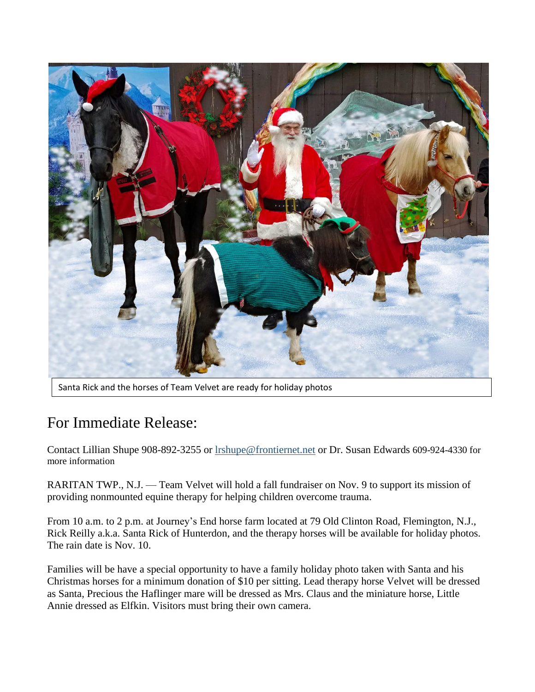

Santa Rick and the horses of Team Velvet are ready for holiday photos

## For Immediate Release:

Contact Lillian Shupe 908-892-3255 or [lrshupe@frontiernet.net](mailto:lrshupe@frontiernet.net) or Dr. Susan Edwards 609-924-4330 for more information

RARITAN TWP., N.J. — Team Velvet will hold a fall fundraiser on Nov. 9 to support its mission of providing nonmounted equine therapy for helping children overcome trauma.

From 10 a.m. to 2 p.m. at Journey's End horse farm located at 79 Old Clinton Road, Flemington, N.J., Rick Reilly a.k.a. Santa Rick of Hunterdon, and the therapy horses will be available for holiday photos. The rain date is Nov. 10.

Families will be have a special opportunity to have a family holiday photo taken with Santa and his Christmas horses for a minimum donation of \$10 per sitting. Lead therapy horse Velvet will be dressed as Santa, Precious the Haflinger mare will be dressed as Mrs. Claus and the miniature horse, Little Annie dressed as Elfkin. Visitors must bring their own camera.